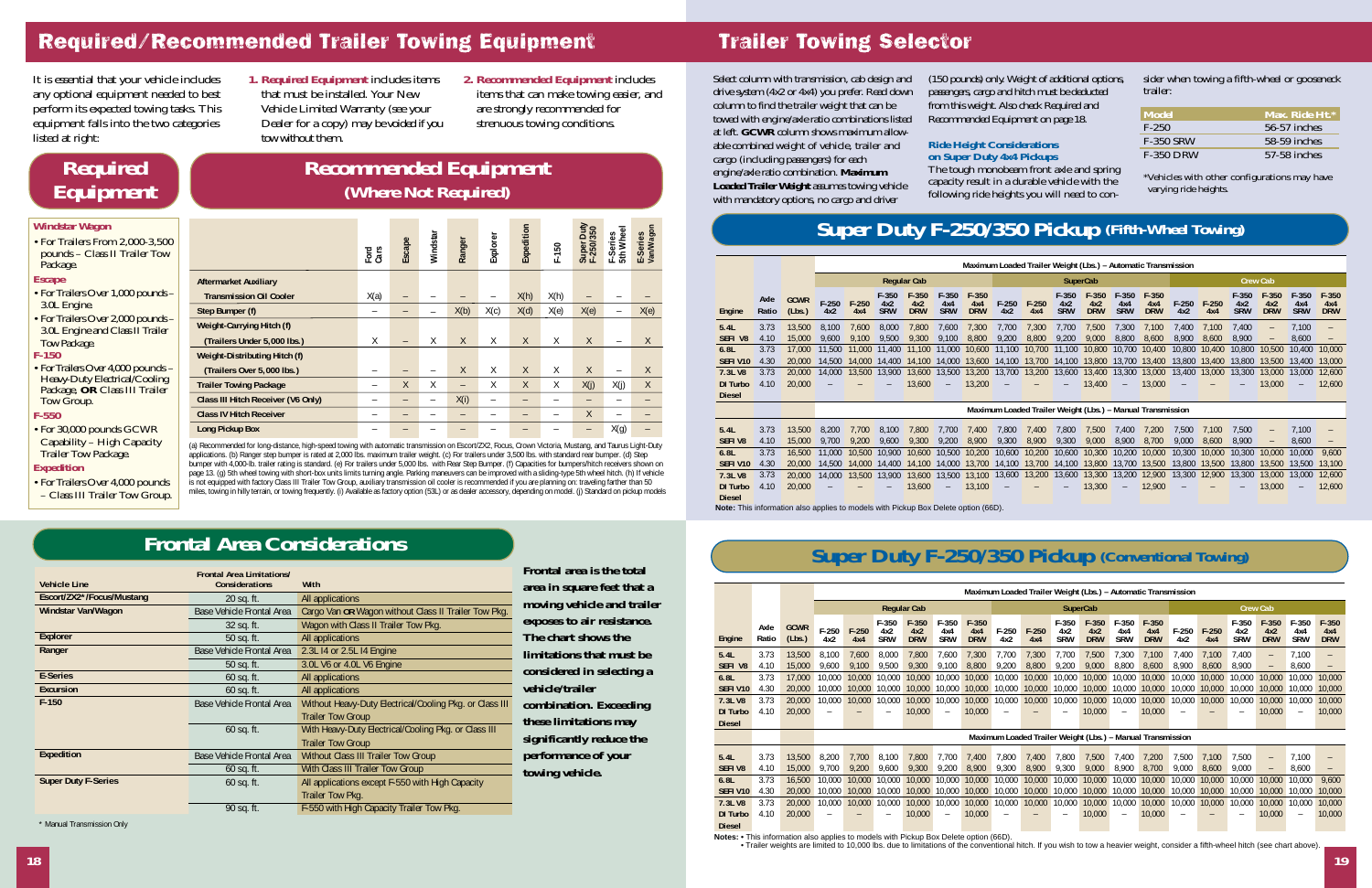#### **Trailer Towing Selector**

Select column with transmission, cab design and drive system (4x2 or 4x4) you prefer. Read down column to find the trailer weight that can be towed with engine/axle ratio combinations listed at left. **GCWR** column shows maximum allowable combined weight of vehicle, trailer and cargo (including passengers) for each engine/axle ratio combination. **Maximum Loaded Trailer Weight** assumes towing vehicle with mandatory options, no cargo and driver cargo (including passengers) for each<br>engine/axle ratio combination. **Maximum**<br>**Loaded Trailer Weight** assumes towing vehicle engine apacity result in a durable vehicle with the<br>with mandatory options, no cargo and driver

(150 pounds) only. Weight of additional options, passengers, cargo and hitch must be deducted from this weight. Also check Required and Recommended Equipment on page 18.

#### **Ride Height Considerations on Super Duty 4x4 Pickups**

The tough monobeam front axle and spring capacity result in a durable vehicle with the following ride heights you will need to consider when towing a fifth-wheel or gooseneck trailer:

| <b>Model</b>     | Max. Ride Ht.* |
|------------------|----------------|
| $F-2.50$         | 56-57 inches   |
| <b>F-350 SRW</b> | 58-59 inches   |
| <b>F-350 DRW</b> | 57-58 inches   |

\*Vehicles with other configurations may have

#### **Super Duty F-250/350 Pickup (Fifth-Wheel Towing)**

|                                                                                                                       |               |                       |                    | Maximum Loaded Trailer Weight (Lbs.) - Automatic Transmission |                              |                              |                              |                              |                  |                                                            |                              |                              |                              |                              |                  |                  |                              |                                        |                              |                              |
|-----------------------------------------------------------------------------------------------------------------------|---------------|-----------------------|--------------------|---------------------------------------------------------------|------------------------------|------------------------------|------------------------------|------------------------------|------------------|------------------------------------------------------------|------------------------------|------------------------------|------------------------------|------------------------------|------------------|------------------|------------------------------|----------------------------------------|------------------------------|------------------------------|
|                                                                                                                       |               |                       | <b>Regular Cab</b> |                                                               |                              |                              |                              |                              | <b>SuperCab</b>  |                                                            |                              |                              |                              |                              | <b>Crew Cab</b>  |                  |                              |                                        |                              |                              |
| Engine                                                                                                                | Axle<br>Ratio | <b>GCWR</b><br>(Lbs.) | $F-250$<br>4x2     | $F-250$<br>4x4                                                | $F-350$<br>4x2<br><b>SRW</b> | $F-350$<br>4x2<br><b>DRW</b> | $F-350$<br>4x4<br><b>SRW</b> | $F-350$<br>4x4<br><b>DRW</b> | $F-250$<br>4x2   | $F-250$<br>4x4                                             | $F-350$<br>4x2<br><b>SRW</b> | $F-350$<br>4x2<br><b>DRW</b> | $F-350$<br>4x4<br><b>SRW</b> | $F-350$<br>4x4<br><b>DRW</b> | $F-250$<br>4x2   | $F-250$<br>4x4   | $F-350$<br>4x2<br><b>SRW</b> | $F-350$<br>4x2<br><b>DRW</b>           | $F-350$<br>4x4<br><b>SRW</b> | $F-350$<br>4x4<br><b>DRW</b> |
| 5.4L<br>SEFI V8                                                                                                       | 3.73<br>4.10  | 13,500<br>15,000      | 8,100<br>9,600     | 7,600<br>9,100                                                | 8,000<br>9,500               | 7,800<br>9,300               | 7,600<br>9,100               | 7,300<br>8,800               | 7,700<br>9,200   | 7,300<br>8,800                                             | 7,700<br>9,200               | 7,500<br>9,000               | 7,300<br>8,800               | 7,100<br>8,600               | 7,400<br>8,900   | 7,100<br>8,600   | 7,400<br>8,900               | $\qquad \qquad -$<br>$\qquad \qquad -$ | 7,100<br>8,600               | $\qquad \qquad -$            |
| 6.8L<br>SEFI V10                                                                                                      | 3.73<br>4.30  | 17,000<br>20,000      | 11,500<br>14,500   | 11.000<br>14.000                                              | 11.400<br>14,400             | 11.100<br>14.100             | 11,000<br>14,000             | 10,600<br>13,600             | 11,100<br>14,100 | 10.700<br>13,700                                           | 11.100<br>14,100             | 10,800<br>13,800 13,700      | 10.700                       | 10.400<br>13,400             | 10,800<br>13,800 | 10.400<br>13,400 | 10,800<br>13,800             | 10,500<br>13,500                       | 10.400<br>13,400             | 10,000<br>13,000             |
| 7.3L V8<br><b>DI Turbo</b>                                                                                            | 3.73<br>4.10  | 20,000<br>20,000      | 14,000             | 13,500                                                        | 13,900                       | 13,600<br>13,600             | 13,500<br>-                  | 13,200<br>13,200             | 13,700           | 13,200                                                     | 13,600                       | 13,400                       | 13,400 13,300                | 13,000<br>13,000             | 13,400           | 13,000           | 13,300                       | 13,000<br>13,000                       | 13,000<br>۰                  | 12,600<br>12,600             |
| <b>Diesel</b>                                                                                                         |               |                       |                    |                                                               |                              |                              |                              |                              |                  |                                                            |                              |                              |                              |                              |                  |                  |                              |                                        |                              |                              |
|                                                                                                                       |               |                       |                    |                                                               |                              |                              |                              |                              |                  | Maximum Loaded Trailer Weight (Lbs.) - Manual Transmission |                              |                              |                              |                              |                  |                  |                              |                                        |                              |                              |
| 5.4L                                                                                                                  | 3.73          | 13,500                | 8,200              | 7,700                                                         | 8,100                        | 7,800                        | 7,700                        | 7,400                        | 7,800            | 7,400                                                      | 7,800                        | 7,500                        | 7,400                        | 7,200                        | 7,500            | 7,100            | 7,500                        | $\qquad \qquad -$                      | 7,100                        |                              |
| <b>SEFIV8</b><br>6.8L                                                                                                 | 4.10<br>3.73  | 15,000<br>16,500      | 9,700<br>11,000    | 9,200<br>10,500                                               | 9,600<br>10.900              | 9,300<br>10.600              | 9,200<br>10,500              | 8,900<br>10,200              | 9,300<br>10.600  | 8,900<br>10,200                                            | 9,300<br>10.600              | 9,000<br>10,300              | 8,900<br>10,200              | 8,700<br>10,000              | 9,000<br>10,300  | 8,600<br>10,000  | 8,900<br>10,300              | $\qquad \qquad -$<br>10,000            | 8,600<br>10,000              | $\qquad \qquad -$<br>9,600   |
| <b>SEFIV10</b>                                                                                                        | 4.30          | 20,000                | 14,500             | 14,000                                                        | 14.400                       | 14,100                       | 14,000                       | 13,700                       | 14.100           | 13,700                                                     | 14,100                       | 13,800                       | 13,700                       | 13,500                       | 13,800           | 13,500           | 13,800                       | 13,500                                 | 13,500                       | 13,100                       |
| 7.3L V8                                                                                                               | 3.73          | 20,000                | 14,000             | 13,500                                                        | 13,900                       | 13,600                       | 13,500                       | 13,100                       | 13,600           | 13,200                                                     | 13,600                       |                              | 13,300 13,200                | 12,900                       | 13,300           | 12,900           | 13,300                       | 13,000                                 | 13,000                       | 12,600                       |
| <b>DI Turbo</b><br><b>Diesel</b><br>Note: This information also applies to models with Diskup Rey Delete entire (GGD) | 4.10          | 20,000                |                    |                                                               |                              | 13,600                       | $\overline{\phantom{0}}$     | 13,100                       |                  |                                                            |                              | 13,300                       |                              | 12,900                       |                  |                  |                              | 13,000                                 |                              | 12,600                       |

**Note:** This information also applies to models with Pickup Box Delete option (66D).

## **Super Duty F-250/350 Pickup (Conventional Towing)**

|                                             |               |                       | Maximum Loaded Trailer Weight (Lbs.) - Automatic Transmission |                  |                              |                              |                                    |                              |                             |                  |                              |                              |                                    |                                                            |                  |                  |                              |                              |                              |                                |  |
|---------------------------------------------|---------------|-----------------------|---------------------------------------------------------------|------------------|------------------------------|------------------------------|------------------------------------|------------------------------|-----------------------------|------------------|------------------------------|------------------------------|------------------------------------|------------------------------------------------------------|------------------|------------------|------------------------------|------------------------------|------------------------------|--------------------------------|--|
|                                             |               |                       | <b>Regular Cab</b>                                            |                  |                              |                              |                                    |                              | SuperCab                    |                  |                              |                              |                                    |                                                            | <b>Crew Cab</b>  |                  |                              |                              |                              |                                |  |
| Engine                                      | Axle<br>Ratio | <b>GCWR</b><br>(Lbs.) | $F-250$<br>4x2                                                | $F-250$<br>4x4   | $F-350$<br>4x2<br><b>SRW</b> | $F-350$<br>4x2<br><b>DRW</b> | $F-350$<br>4x4<br><b>SRW</b>       | $F-350$<br>4x4<br><b>DRW</b> | $F-250$<br>4x2              | $F-250$<br>4x4   | $F-350$<br>4x2<br><b>SRW</b> | $F-350$<br>4x2<br><b>DRW</b> | $F-350$<br>4x4<br><b>SRW</b>       | $F-350$<br>4x4<br><b>DRW</b>                               | $F-250$<br>4x2   | $F-250$<br>4x4   | $F-350$<br>4x2<br><b>SRW</b> | $F-350$<br>4x2<br><b>DRW</b> | $F-350$<br>4x4<br><b>SRW</b> | $F - 350$<br>4x4<br><b>DRW</b> |  |
| 5.4L<br>SEFI V8                             | 3.73<br>4.10  | 13,500<br>15,000      | 8,100<br>9,600                                                | 7,600<br>9,100   | 8,000<br>9,500               | 7,800<br>9,300               | 7,600<br>9,100                     | 7,300<br>8,800               | 7,700<br>9,200              | 7,300<br>8,800   | 7,700<br>9,200               | 7,500<br>9,000               | 7,300<br>8,800                     | 7,100<br>8,600                                             | 7,400<br>8,900   | 7,100<br>8,600   | 7,400<br>8,900               | $\qquad \qquad -$            | 7,100<br>8,600               |                                |  |
| 6.8L<br>SEFI V10                            | 3.73<br>4.30  | 17,000<br>20,000      | 10,000<br>10.000                                              | 10,000<br>10,000 | 10.000<br>10.000             | 10.000<br>10,000             | 10,000<br>10.000                   | 10,000<br>10,000             | 10.000<br>10,000            | 10,000<br>10,000 | 10.000<br>10,000             | 10,000<br>10,000             | 10,000<br>10,000                   | 10.000<br>10,000                                           | 10,000<br>10.000 | 10,000<br>10,000 | 10,000<br>10.000             | 10,000<br>10,000             | 10,000<br>10,000             | 10,000<br>10,000               |  |
| 7.3L V8<br><b>DI Turbo</b><br><b>Diesel</b> | 3.73<br>4.10  | 20,000<br>20,000      | 10,000<br>-                                                   | 10,000           | 10,000<br>-                  | 10,000<br>10,000             | 10,000<br>$\overline{\phantom{0}}$ | 10,000<br>10,000             | 10,000<br>$\qquad \qquad -$ | 10,000           | 10,000                       | 10,000<br>10,000             | 10,000<br>$\overline{\phantom{m}}$ | 10,000<br>10,000                                           | 10,000<br>-      | 10,000           | 10,000                       | 10,000<br>10,000             | 10,000<br>-                  | 10,000<br>10,000               |  |
|                                             |               |                       |                                                               |                  |                              |                              |                                    |                              |                             |                  |                              |                              |                                    | Maximum Loaded Trailer Weight (Lbs.) - Manual Transmission |                  |                  |                              |                              |                              |                                |  |
| 5.4L<br><b>SEFIV8</b>                       | 3.73<br>4.10  | 13,500<br>15,000      | 8,200<br>9,700                                                | 7,700<br>9.200   | 8,100<br>9,600               | 7,800<br>9,300               | 7,700<br>9,200                     | 7,400<br>8,900               | 7,800<br>9,300              | 7,400<br>8,900   | 7,800<br>9,300               | 7,500<br>9,000               | 7,400<br>8,900                     | 7,200<br>8,700                                             | 7,500<br>9,000   | 7,100<br>8.600   | 7,500<br>9.000               | $\qquad \qquad -$            | 7,100<br>8,600               |                                |  |
| 6.8L<br>SEFI V10                            | 3.73<br>4.30  | 16,500<br>20,000      | 10,000<br>10,000                                              | 10,000<br>10,000 | 10,000<br>10,000             | 10,000<br>10,000             | 10,000<br>10,000                   | 10,000<br>10,000 10,000      | 10,000                      | 10,000<br>10,000 | 10,000<br>10,000             | 10,000<br>10,000             | 10,000<br>10,000                   | 10,000<br>10,000                                           | 10,000<br>10,000 | 10,000<br>10,000 | 10,000<br>10,000             | 10,000<br>10,000 10,000      | 10,000                       | 9,600<br>10,000                |  |
| 7.3L V8<br><b>DI Turbo</b><br><b>Diesel</b> | 3.73<br>4.10  | 20,000<br>20,000      | 10,000                                                        | 10,000           | 10,000                       | 10,000<br>10,000             | 10,000<br>$\overline{\phantom{0}}$ | 10,000<br>10,000             | 10,000                      | 10,000           | 10,000                       | 10,000<br>10,000             | 10,000<br>$\overline{\phantom{m}}$ | 10,000<br>10,000                                           | 10,000           | 10,000           | 10,000                       | 10,000<br>10,000             | 10,000<br>۰                  | 10,000<br>10,000               |  |

Notes: • This information also applies to models with Pickup Box Delete option (66D).<br>Drailer weights are limited to 10,000 lbs. due to limitations of the conventional hitch. If you wish to tow a heavier weight, consider